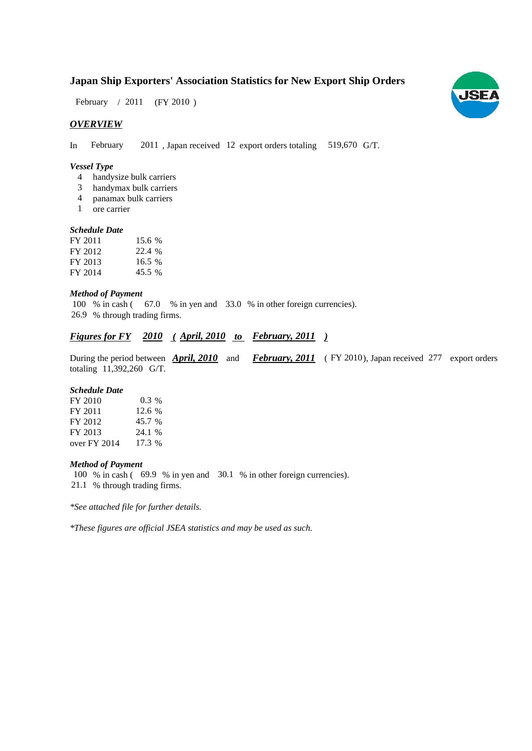## **Japan Ship Exporters' Association Statistics for New Export Ship Orders**

February / 2011 (FY 2010)

## *OVERVIEW*

In February 2011, Japan received 12 export orders totaling 519,670 G/T.

#### *Vessel Type*

- handysize bulk carriers 4
- handymax bulk carriers 3
- panamax bulk carriers 4
- ore carrier 1

### *Schedule Date*

| FY 2011 | 15.6 % |
|---------|--------|
| FY 2012 | 22.4 % |
| FY 2013 | 16.5 % |
| FY 2014 | 45.5 % |

#### *Method of Payment*

100 % in cash (67.0 % in yen and 33.0 % in other foreign currencies). % through trading firms. 26.9

## *<u>Figures for FY* 2010 (April, 2010 to February, 2011)</u>

During the period between **April, 2010** and **February, 2011** (FY 2010), Japan received 277 export orders totaling 11,392,260 G/T.

#### *Schedule Date*

| FY 2010      | $0.3\%$  |
|--------------|----------|
| FY 2011      | 12.6 %   |
| FY 2012      | 45.7 %   |
| FY 2013      | 24.1 %   |
| over FY 2014 | $17.3\%$ |

#### *Method of Payment*

100 % in cash (69.9 % in yen and 30.1 % in other foreign currencies). % through trading firms. 21.1

*\*See attached file for further details.*

*\*These figures are official JSEA statistics and may be used as such.*

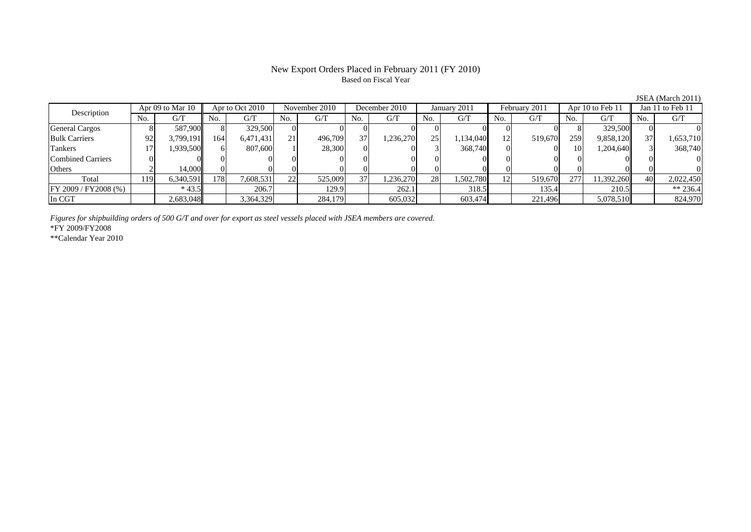## New Export Orders Placed in February 2011 (FY 2010) Based on Fiscal Year

JSEA (March 2011)

| Description           |     | Apr 09 to Mar 10 |     | Apr to Oct 2010 | November 2010   |         | December 2010 | January 2011 |     | February 2011 |     | Apr 10 to Feb 11 |     | Jan 11 to Feb 11 |     |           |
|-----------------------|-----|------------------|-----|-----------------|-----------------|---------|---------------|--------------|-----|---------------|-----|------------------|-----|------------------|-----|-----------|
|                       | No. | G/T              | No. | G/T             | No.             | G/T     | No.           | G/T          | No. | G/T           | No. | G/T              | No. | G/T              | No. | G/T       |
| <b>General Cargos</b> |     | 587,900          |     | 329,500         | $\Omega$        |         |               |              |     |               |     |                  |     | 329,500          |     |           |
| <b>Bulk Carriers</b>  | 92  | 3,799,191        | 164 | 6,471,431       | 21 <sub>1</sub> | 496,709 | 37            | 1,236,270    | 25  | 1,134,040     | 12  | 519,670          | 259 | 9,858,120        |     | 1,653,710 |
| Tankers               |     | 1.939.500        |     | 807,600         |                 | 28,300  |               |              |     | 368,740       |     |                  | 10  | 1,204,640        |     | 368,740   |
| Combined Carriers     |     |                  |     |                 |                 |         |               |              |     |               |     |                  |     |                  |     |           |
| Others                |     | 14.000           |     |                 |                 |         |               |              |     |               |     |                  |     |                  |     |           |
| Total                 | 119 | 6,340,591        | 178 | 7,608,531       | 22              | 525,009 | 37            | 1,236,270    | 28  | 1,502,780     |     | 519,670          | 277 | 11,392,260       | 40  | 2,022,450 |
| FF 2009 / FY2008 (%)  |     | $*43.5$          |     | 206.7           |                 | 129.9   |               | 262.1        |     | 318.5         |     | 135.4            |     | 210.5            |     | ** 236.4  |
| In CGT                |     | 2,683,048        |     | 3,364,329       |                 | 284,179 |               | 605,032      |     | 603,474       |     | 221,496          |     | 5,078,510        |     | 824,970   |

*Figures for shipbuilding orders of 500 G/T and over for export as steel vessels placed with JSEA members are covered.*

\*FY 2009/FY2008

\*\*Calendar Year 2010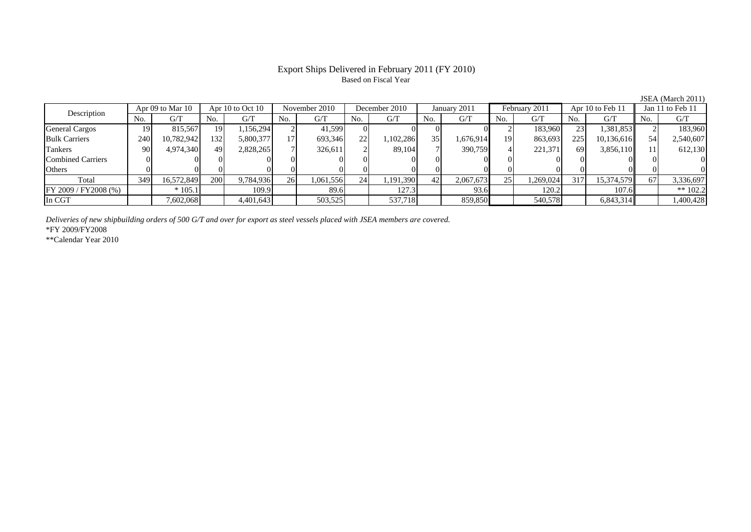## Export Ships Delivered in February 2011 (FY 2010) Based on Fiscal Year

JSEA (March 2011)

| Apr 09 to Mar 10<br>Description |     |            | Apr 10 to Oct 10 |           | November 2010 |           | December 2010   |           | January 2011   |           | February 2011 |           | Apr 10 to Feb 11 |            | Jan 11 to Feb 11 |            |
|---------------------------------|-----|------------|------------------|-----------|---------------|-----------|-----------------|-----------|----------------|-----------|---------------|-----------|------------------|------------|------------------|------------|
|                                 | No. | G/T        | No.              | G/T       | No.           | G/T       | No.             | G/T       | N <sub>o</sub> | G/T       | No.           | G/T       | No.              | G/T        | No.              | G/T        |
| <b>General Cargos</b>           | 19  | 815.567    | 19 <sup> </sup>  | .156,294  |               | 41,599    |                 |           |                |           |               | 183,960   | 23 <sub>1</sub>  | 1,381,853  |                  | 183,960    |
| <b>Bulk Carriers</b>            | 240 | 10,782,942 | 132              | 5,800,377 | 171           | 693,346   | 22              | ,102,286  | 35             | 1,676,914 | 19            | 863,693   | 225              | 10,136,616 | 54               | 2,540,607  |
| Tankers                         | 90  | 4,974,340  | 49               | 2,828,265 |               | 326,611   |                 | 89,104    |                | 390,759   |               | 221,371   | <sup>69</sup>    | 3,856,110  |                  | 612,130    |
| <b>Combined Carriers</b>        |     |            |                  |           |               |           |                 |           |                |           |               |           |                  |            |                  |            |
| Others                          |     |            |                  |           |               |           |                 |           |                |           |               |           |                  |            |                  |            |
| Total                           | 349 | 16,572,849 | 200              | 9,784,936 | 26            | 1,061,556 | 24 <sub>1</sub> | 1,191,390 | 42             | 2,067,673 | 25            | 1,269,024 | 317              | 15,374,579 | -67              | 3,336,697  |
| FY 2009 / FY 2008 (%)           |     | $*105.1$   |                  | 109.9     |               | 89.6      |                 | 127.3     |                | 93.6      |               | 120.2     |                  | 107.6      |                  | ** $102.2$ |
| In CGT                          |     | 7,602,068  |                  | 4,401,643 |               | 503,525   |                 | 537,718   |                | 859,850   |               | 540,578   |                  | 6,843,314  |                  | 1,400,428  |

*Deliveries of new shipbuilding orders of 500 G/T and over for export as steel vessels placed with JSEA members are covered.*

\*FY 2009/FY2008

\*\*Calendar Year 2010